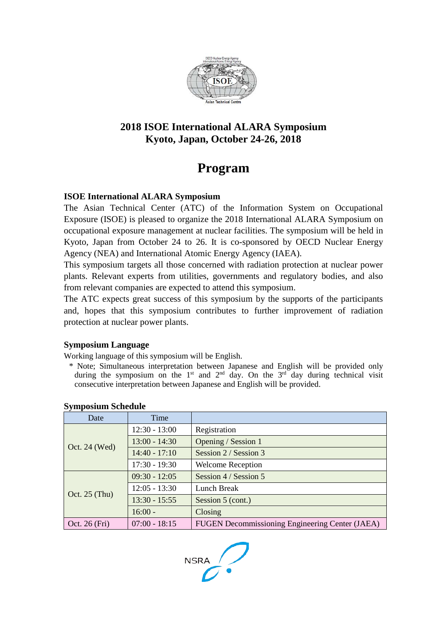

# **2018 ISOE International ALARA Symposium Kyoto, Japan, October 24-26, 2018**

# **Program**

#### **ISOE International ALARA Symposium**

The Asian Technical Center (ATC) of the Information System on Occupational Exposure (ISOE) is pleased to organize the 2018 International ALARA Symposium on occupational exposure management at nuclear facilities. The symposium will be held in Kyoto, Japan from October 24 to 26. It is co-sponsored by OECD Nuclear Energy Agency (NEA) and International Atomic Energy Agency (IAEA).

This symposium targets all those concerned with radiation protection at nuclear power plants. Relevant experts from utilities, governments and regulatory bodies, and also from relevant companies are expected to attend this symposium.

The ATC expects great success of this symposium by the supports of the participants and, hopes that this symposium contributes to further improvement of radiation protection at nuclear power plants.

#### **Symposium Language**

Working language of this symposium will be English.

\* Note; Simultaneous interpretation between Japanese and English will be provided only during the symposium on the  $1<sup>st</sup>$  and  $2<sup>nd</sup>$  day. On the  $3<sup>rd</sup>$  day during technical visit consecutive interpretation between Japanese and English will be provided.

| Date            | Time            |                                                 |
|-----------------|-----------------|-------------------------------------------------|
| Oct. 24 (Wed)   | $12:30 - 13:00$ | Registration                                    |
|                 | $13:00 - 14:30$ | Opening / Session 1                             |
|                 | $14:40 - 17:10$ | Session 2 / Session 3                           |
|                 | $17:30 - 19:30$ | <b>Welcome Reception</b>                        |
| Oct. $25$ (Thu) | $09:30 - 12:05$ | Session 4 / Session 5                           |
|                 | $12:05 - 13:30$ | Lunch Break                                     |
|                 | $13:30 - 15:55$ | Session 5 (cont.)                               |
|                 | $16:00 -$       | Closing                                         |
| Oct. 26 (Fri)   | $07:00 - 18:15$ | FUGEN Decommissioning Engineering Center (JAEA) |

#### **Symposium Schedule**

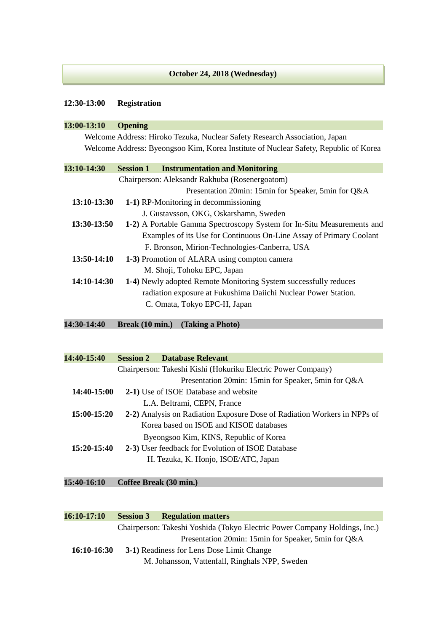#### **October 24, 2018 (Wednesday)**

#### **12:30-13:00 Registration**

l

| 13:00-13:10 | <b>Opening</b>                                                                       |
|-------------|--------------------------------------------------------------------------------------|
|             | Welcome Address: Hiroko Tezuka, Nuclear Safety Research Association, Japan           |
|             | Welcome Address: Byeongsoo Kim, Korea Institute of Nuclear Safety, Republic of Korea |
| 13:10-14:30 | <b>Session 1</b><br><b>Instrumentation and Monitoring</b>                            |
|             | Chairperson: Aleksandr Rakhuba (Rosenergoatom)                                       |
|             | Presentation 20min: 15min for Speaker, 5min for Q&A                                  |
| 13:10-13:30 | 1-1) RP-Monitoring in decommissioning                                                |
|             | J. Gustavsson, OKG, Oskarshamn, Sweden                                               |
| 13:30-13:50 | 1-2) A Portable Gamma Spectroscopy System for In-Situ Measurements and               |
|             | Examples of its Use for Continuous On-Line Assay of Primary Coolant                  |
|             | F. Bronson, Mirion-Technologies-Canberra, USA                                        |
| 13:50-14:10 | 1-3) Promotion of ALARA using compton camera                                         |
|             | M. Shoji, Tohoku EPC, Japan                                                          |
| 14:10-14:30 | 1-4) Newly adopted Remote Monitoring System successfully reduces                     |
|             | radiation exposure at Fukushima Daiichi Nuclear Power Station.                       |
|             | C. Omata, Tokyo EPC-H, Japan                                                         |

**14:30-14:40 Break (10 min.) (Taking a Photo)** 

| 14:40-15:40 | <b>Session 2</b> | Database Relevant                                                        |
|-------------|------------------|--------------------------------------------------------------------------|
|             |                  | Chairperson: Takeshi Kishi (Hokuriku Electric Power Company)             |
|             |                  | Presentation 20min: 15min for Speaker, 5min for Q&A                      |
| 14:40-15:00 |                  | 2-1) Use of ISOE Database and website                                    |
|             |                  | L.A. Beltrami, CEPN, France                                              |
| 15:00-15:20 |                  | 2-2) Analysis on Radiation Exposure Dose of Radiation Workers in NPPs of |
|             |                  | Korea based on ISOE and KISOE databases                                  |
|             |                  | Byeongsoo Kim, KINS, Republic of Korea                                   |
| 15:20-15:40 |                  | 2-3) User feedback for Evolution of ISOE Database                        |
|             |                  | H. Tezuka, K. Honjo, ISOE/ATC, Japan                                     |
|             |                  |                                                                          |

## **15:40-16:10 Coffee Break (30 min.)**

| 16:10-17:10 | <b>Session 3</b> | <b>Regulation matters</b>                                                  |
|-------------|------------------|----------------------------------------------------------------------------|
|             |                  | Chairperson: Takeshi Yoshida (Tokyo Electric Power Company Holdings, Inc.) |
|             |                  | Presentation 20min: 15min for Speaker, 5min for Q&A                        |
| 16:10-16:30 |                  | 3-1) Readiness for Lens Dose Limit Change                                  |
|             |                  | M. Johansson, Vattenfall, Ringhals NPP, Sweden                             |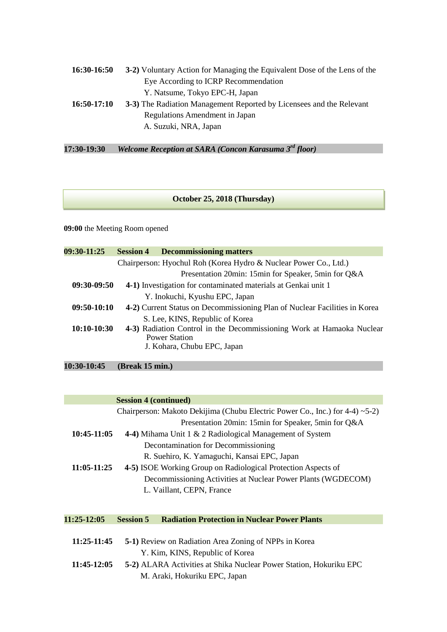| 16:30-16:50   | 3-2) Voluntary Action for Managing the Equivalent Dose of the Lens of the |  |
|---------------|---------------------------------------------------------------------------|--|
|               | Eye According to ICRP Recommendation                                      |  |
|               | Y. Natsume, Tokyo EPC-H, Japan                                            |  |
| $16:50-17:10$ | 3-3) The Radiation Management Reported by Licensees and the Relevant      |  |
|               | Regulations Amendment in Japan                                            |  |
|               | A. Suzuki, NRA, Japan                                                     |  |

**17:30-19:30** *Welcome Reception at SARA (Concon Karasuma 3rd floor)*

#### **October 25, 2018 (Thursday)**

**09:00** the Meeting Room opened

| 09:30-11:25   | <b>Session 4</b> | <b>Decommissioning matters</b>                                             |
|---------------|------------------|----------------------------------------------------------------------------|
|               |                  | Chairperson: Hyochul Roh (Korea Hydro & Nuclear Power Co., Ltd.)           |
|               |                  | Presentation 20min: 15min for Speaker, 5min for Q&A                        |
| $09:30-09:50$ |                  | 4-1) Investigation for contaminated materials at Genkai unit 1             |
|               |                  | Y. Inokuchi, Kyushu EPC, Japan                                             |
| $09:50-10:10$ |                  | 4-2) Current Status on Decommissioning Plan of Nuclear Facilities in Korea |
|               |                  | S. Lee, KINS, Republic of Korea                                            |
| $10:10-10:30$ |                  | 4-3) Radiation Control in the Decommissioning Work at Hamaoka Nuclear      |
|               |                  | <b>Power Station</b>                                                       |
|               |                  | J. Kohara, Chubu EPC, Japan                                                |
|               |                  |                                                                            |

**10:30-10:45 (Break 15 min.)** 

|               | <b>Session 4 (continued)</b>                                                    |
|---------------|---------------------------------------------------------------------------------|
|               | Chairperson: Makoto Dekijima (Chubu Electric Power Co., Inc.) for $4-4$ ) ~5-2) |
|               | Presentation 20min: 15min for Speaker, 5min for Q&A                             |
| $10:45-11:05$ | 4-4) Mihama Unit 1 & 2 Radiological Management of System                        |
|               | Decontamination for Decommissioning                                             |
|               | R. Suehiro, K. Yamaguchi, Kansai EPC, Japan                                     |
| $11:05-11:25$ | 4-5) ISOE Working Group on Radiological Protection Aspects of                   |
|               | Decommissioning Activities at Nuclear Power Plants (WGDECOM)                    |
|               | L. Vaillant, CEPN, France                                                       |
|               |                                                                                 |
| $11:25-12:05$ | <b>Session 5</b><br><b>Radiation Protection in Nuclear Power Plants</b>         |
|               |                                                                                 |
| 11:25-11:45   | 5-1) Review on Radiation Area Zoning of NPPs in Korea                           |
|               | Y. Kim, KINS, Republic of Korea                                                 |
| 11:45-12:05   | 5-2) ALARA Activities at Shika Nuclear Power Station, Hokuriku EPC              |
|               | M. Araki, Hokuriku EPC, Japan                                                   |
|               |                                                                                 |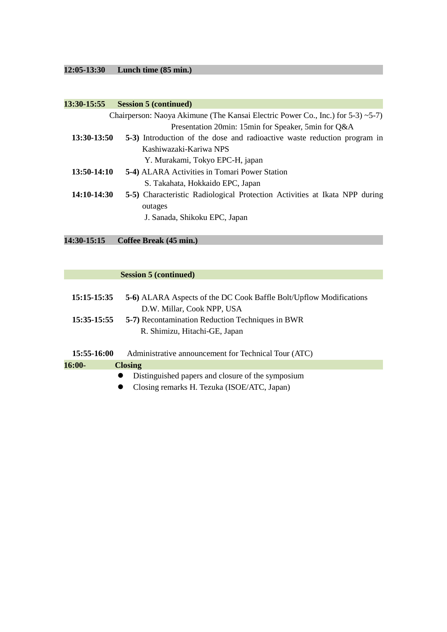# **12:05-13:30 Lunch time (85 min.)**

| 13:30-15:55   | <b>Session 5 (continued)</b>                                                             |
|---------------|------------------------------------------------------------------------------------------|
|               | Chairperson: Naoya Akimune (The Kansai Electric Power Co., Inc.) for $5-3$ ) $\sim$ 5-7) |
|               | Presentation 20min: 15min for Speaker, 5min for Q&A                                      |
| 13:30-13:50   | 5-3) Introduction of the dose and radioactive waste reduction program in                 |
|               | Kashiwazaki-Kariwa NPS                                                                   |
|               | Y. Murakami, Tokyo EPC-H, japan                                                          |
| $13:50-14:10$ | 5-4) ALARA Activities in Tomari Power Station                                            |
|               | S. Takahata, Hokkaido EPC, Japan                                                         |
| 14:10-14:30   | 5-5) Characteristic Radiological Protection Activities at Ikata NPP during               |
|               | outages                                                                                  |
|               | J. Sanada, Shikoku EPC, Japan                                                            |
|               |                                                                                          |

### **14:30-15:15 Coffee Break (45 min.)**

#### **Session 5 (continued)**

| 15:15-15:35<br>15:35-15:55 | 5-6) ALARA Aspects of the DC Cook Baffle Bolt/Upflow Modifications<br>D.W. Millar, Cook NPP, USA<br><b>5-7)</b> Recontamination Reduction Techniques in BWR<br>R. Shimizu, Hitachi-GE, Japan |
|----------------------------|----------------------------------------------------------------------------------------------------------------------------------------------------------------------------------------------|
| 15:55-16:00                | Administrative announcement for Technical Tour (ATC)                                                                                                                                         |
| 16:00-                     | <b>Closing</b>                                                                                                                                                                               |
|                            | Distinguished papers and closure of the symposium                                                                                                                                            |

Closing remarks H. Tezuka (ISOE/ATC, Japan)